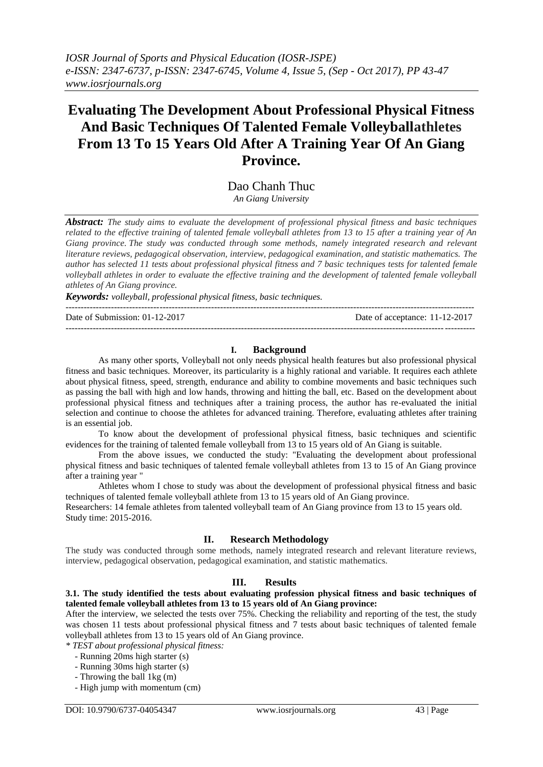# **Evaluating The Development About Professional Physical Fitness And Basic Techniques Of Talented Female Volleyballathletes From 13 To 15 Years Old After A Training Year Of An Giang Province.**

Dao Chanh Thuc *An Giang University*

*Abstract: The study aims to evaluate the development of professional physical fitness and basic techniques related to the effective training of talented female volleyball athletes from 13 to 15 after a training year of An Giang province. The study was conducted through some methods, namely integrated research and relevant literature reviews, pedagogical observation, interview, pedagogical examination, and statistic mathematics. The author has selected 11 tests about professional physical fitness and 7 basic techniques tests for talented female volleyball athletes in order to evaluate the effective training and the development of talented female volleyball athletes of An Giang province.*

*Keywords: volleyball, professional physical fitness, basic techniques.*

--------------------------------------------------------------------------------------------------------------------------------------- Date of Submission: 01-12-2017 Date of acceptance: 11-12-2017 ---------------------------------------------------------------------------------------------------------------------------------------

#### **I. Background**

As many other sports, Volleyball not only needs physical health features but also professional physical fitness and basic techniques. Moreover, its particularity is a highly rational and variable. It requires each athlete about physical fitness, speed, strength, endurance and ability to combine movements and basic techniques such as passing the ball with high and low hands, throwing and hitting the ball, etc. Based on the development about professional physical fitness and techniques after a training process, the author has re-evaluated the initial selection and continue to choose the athletes for advanced training. Therefore, evaluating athletes after training is an essential job.

To know about the development of professional physical fitness, basic techniques and scientific evidences for the training of talented female volleyball from 13 to 15 years old of An Giang is suitable.

From the above issues, we conducted the study: "Evaluating the development about professional physical fitness and basic techniques of talented female volleyball athletes from 13 to 15 of An Giang province after a training year "

Athletes whom I chose to study was about the development of professional physical fitness and basic techniques of talented female volleyball athlete from 13 to 15 years old of An Giang province.

Researchers: 14 female athletes from talented volleyball team of An Giang province from 13 to 15 years old. Study time: 2015-2016.

#### **II. Research Methodology**

The study was conducted through some methods, namely integrated research and relevant literature reviews, interview, pedagogical observation, pedagogical examination, and statistic mathematics.

# **III. Results**

#### **3.1. The study identified the tests about evaluating profession physical fitness and basic techniques of talented female volleyball athletes from 13 to 15 years old of An Giang province:**

After the interview, we selected the tests over 75%. Checking the reliability and reporting of the test, the study was chosen 11 tests about professional physical fitness and 7 tests about basic techniques of talented female volleyball athletes from 13 to 15 years old of An Giang province.

*\* TEST about professional physical fitness:*

- Running 20ms high starter (s)
- Running 30ms high starter (s)
- Throwing the ball 1kg (m)
- High jump with momentum (cm)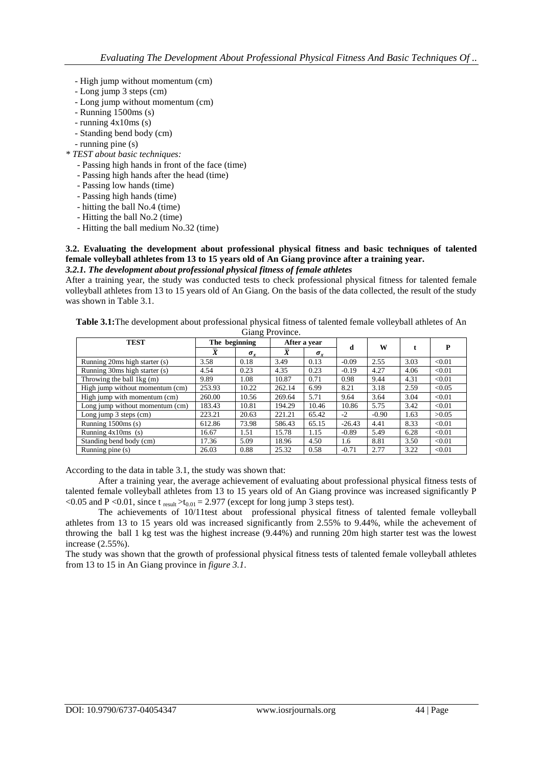- High jump without momentum (cm)
- Long jump 3 steps (cm)
- Long jump without momentum (cm)
- Running 1500ms (s)
- running 4x10ms (s)
- Standing bend body (cm)

- *\* TEST about basic techniques:*
	- Passing high hands in front of the face (time)
	- Passing high hands after the head (time)
	- Passing low hands (time)
	- Passing high hands (time)
	- hitting the ball No.4 (time)
	- Hitting the ball No.2 (time)
	- Hitting the ball medium No.32 (time)

#### **3.2. Evaluating the development about professional physical fitness and basic techniques of talented female volleyball athletes from 13 to 15 years old of An Giang province after a training year.** *3.2.1. The development about professional physical fitness of female athletes*

After a training year, the study was conducted tests to check professional physical fitness for talented female volleyball athletes from 13 to 15 years old of An Giang. On the basis of the data collected, the result of the study was shown in Table 3.1.

**Table 3.1:**The development about professional physical fitness of talented female volleyball athletes of An Giang Province.

| <b>TEST</b>                     | The beginning  |              |                | After a year |          |         |      |        |
|---------------------------------|----------------|--------------|----------------|--------------|----------|---------|------|--------|
|                                 | $\overline{X}$ | $\sigma_{x}$ | $\overline{X}$ | $\sigma_{r}$ | d        | W       |      | P      |
| Running 20ms high starter (s)   | 3.58           | 0.18         | 3.49           | 0.13         | $-0.09$  | 2.55    | 3.03 | < 0.01 |
| Running 30ms high starter (s)   | 4.54           | 0.23         | 4.35           | 0.23         | $-0.19$  | 4.27    | 4.06 | < 0.01 |
| Throwing the ball $1kg(m)$      | 9.89           | 1.08         | 10.87          | 0.71         | 0.98     | 9.44    | 4.31 | < 0.01 |
| High jump without momentum (cm) | 253.93         | 10.22        | 262.14         | 6.99         | 8.21     | 3.18    | 2.59 | < 0.05 |
| High jump with momentum (cm)    | 260.00         | 10.56        | 269.64         | 5.71         | 9.64     | 3.64    | 3.04 | < 0.01 |
| Long jump without momentum (cm) | 183.43         | 10.81        | 194.29         | 10.46        | 10.86    | 5.75    | 3.42 | < 0.01 |
| Long jump 3 steps (cm)          | 223.21         | 20.63        | 221.21         | 65.42        | $-2$     | $-0.90$ | 1.63 | >0.05  |
| Running $1500\text{ms}$ (s)     | 612.86         | 73.98        | 586.43         | 65.15        | $-26.43$ | 4.41    | 8.33 | < 0.01 |
| Running $4x10ms$ (s)            | 16.67          | 1.51         | 15.78          | 1.15         | $-0.89$  | 5.49    | 6.28 | < 0.01 |
| Standing bend body (cm)         | 17.36          | 5.09         | 18.96          | 4.50         | 1.6      | 8.81    | 3.50 | < 0.01 |
| Running pine (s)                | 26.03          | 0.88         | 25.32          | 0.58         | $-0.71$  | 2.77    | 3.22 | < 0.01 |

According to the data in table 3.1, the study was shown that:

After a training year, the average achievement of evaluating about professional physical fitness tests of talented female volleyball athletes from 13 to 15 years old of An Giang province was increased significantly P <0.05 and P <0.01, since t  $_{result}$  >t<sub>0.01</sub> = 2.977 (except for long jump 3 steps test).

The achievements of 10/11test about professional physical fitness of talented female volleyball athletes from 13 to 15 years old was increased significantly from 2.55% to 9.44%, while the achevement of throwing the ball 1 kg test was the highest increase (9.44%) and running 20m high starter test was the lowest increase (2.55%).

The study was shown that the growth of professional physical fitness tests of talented female volleyball athletes from 13 to 15 in An Giang province in *figure 3.1*.

 <sup>-</sup> running pine (s)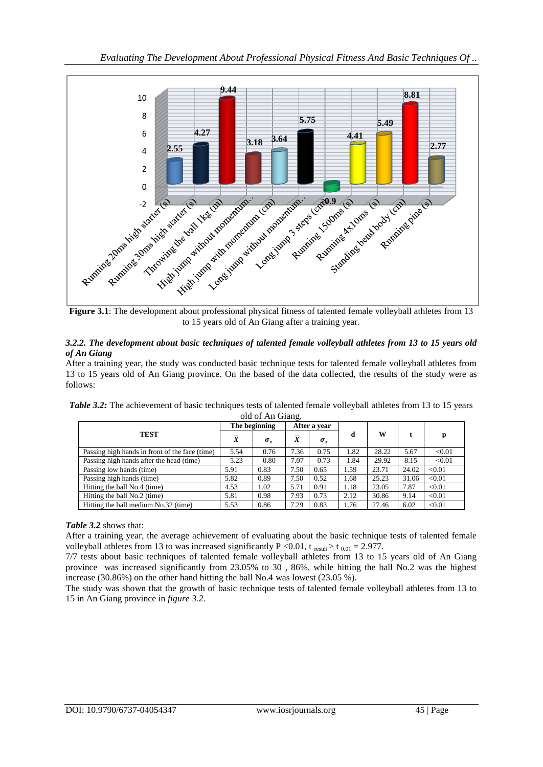



#### *3.2.2. The development about basic techniques of talented female volleyball athletes from 13 to 15 years old of An Giang*

After a training year, the study was conducted basic technique tests for talented female volleyball athletes from 13 to 15 years old of An Giang province. On the based of the data collected, the results of the study were as follows:

|                                                | The beginning  |              | After a year   |              |      |       |       |        |
|------------------------------------------------|----------------|--------------|----------------|--------------|------|-------|-------|--------|
| <b>TEST</b>                                    | $\overline{X}$ | $\sigma_{x}$ | $\overline{X}$ | $\sigma_{x}$ | d    | w     |       | p      |
| Passing high hands in front of the face (time) | 5.54           | 0.76         | 7.36           | 0.75         | 1.82 | 28.22 | 5.67  | < 0.01 |
| Passing high hands after the head (time)       | 5.23           | 0.80         | 7.07           | 0.73         | 1.84 | 29.92 | 8.15  | < 0.01 |
| Passing low hands (time)                       | 5.91           | 0.83         | 7.50           | 0.65         | 1.59 | 23.71 | 24.02 | < 0.01 |
| Passing high hands (time)                      | 5.82           | 0.89         | 7.50           | 0.52         | 1.68 | 25.23 | 31.06 | < 0.01 |
| Hitting the ball No.4 (time)                   | 4.53           | 1.02         | 5.71           | 0.91         | 1.18 | 23.05 | 7.87  | < 0.01 |
| Hitting the ball No.2 (time)                   | 5.81           | 0.98         | 7.93           | 0.73         | 2.12 | 30.86 | 9.14  | < 0.01 |
| Hitting the ball medium No.32 (time)           | 5.53           | 0.86         | 7.29           | 0.83         | 1.76 | 27.46 | 6.02  | < 0.01 |

*Table 3.2:* The achievement of basic techniques tests of talented female volleyball athletes from 13 to 15 years old of An Giang.

# *Table 3.2* shows that:

After a training year, the average achievement of evaluating about the basic technique tests of talented female volleyball athletes from 13 to was increased significantly P <0.01, t result > t  $_{0.01} = 2.977$ .

7/7 tests about basic techniques of talented female volleyball athletes from 13 to 15 years old of An Giang province was increased significantly from 23.05% to 30 , 86%, while hitting the ball No.2 was the highest increase (30.86%) on the other hand hitting the ball No.4 was lowest (23.05 %).

The study was shown that the growth of basic technique tests of talented female volleyball athletes from 13 to 15 in An Giang province in *figure 3.2*.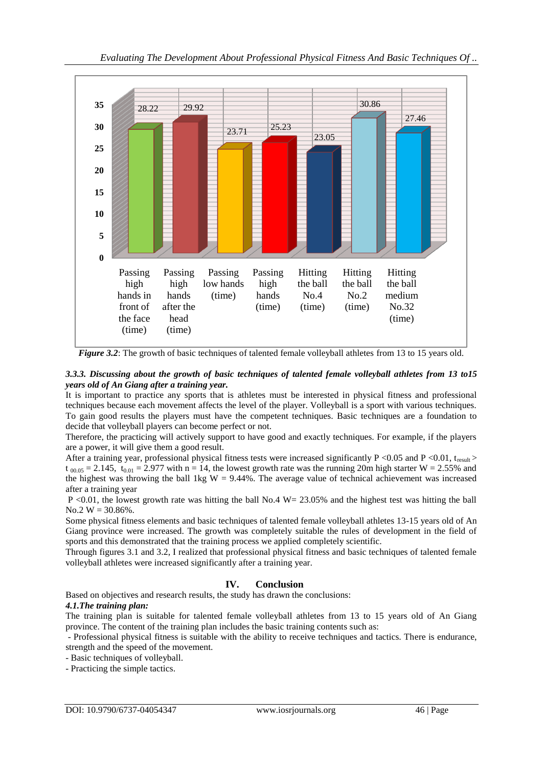

*Figure 3.2*: The growth of basic techniques of talented female volleyball athletes from 13 to 15 years old.

# *3.3.3. Discussing about the growth of basic techniques of talented female volleyball athletes from 13 to15 years old of An Giang after a training year.*

It is important to practice any sports that is athletes must be interested in physical fitness and professional techniques because each movement affects the level of the player. Volleyball is a sport with various techniques. To gain good results the players must have the competent techniques. Basic techniques are a foundation to decide that volleyball players can become perfect or not.

Therefore, the practicing will actively support to have good and exactly techniques. For example, if the players are a power, it will give them a good result.

After a training year, professional physical fitness tests were increased significantly  $P \le 0.05$  and  $P \le 0.01$ , t<sub>result</sub> >  $t_{00.05} = 2.145$ ,  $t_{0.01} = 2.977$  with n = 14, the lowest growth rate was the running 20m high starter W = 2.55% and the highest was throwing the ball 1kg  $W = 9.44\%$ . The average value of technical achievement was increased after a training year

P <0.01, the lowest growth rate was hitting the ball No.4 W= 23.05% and the highest test was hitting the ball No.2  $W = 30.86\%$ .

Some physical fitness elements and basic techniques of talented female volleyball athletes 13-15 years old of An Giang province were increased. The growth was completely suitable the rules of development in the field of sports and this demonstrated that the training process we applied completely scientific.

Through figures 3.1 and 3.2, I realized that professional physical fitness and basic techniques of talented female volleyball athletes were increased significantly after a training year.

# **IV. Conclusion**

Based on objectives and research results, the study has drawn the conclusions:

# *4.1.The training plan:*

The training plan is suitable for talented female volleyball athletes from 13 to 15 years old of An Giang province. The content of the training plan includes the basic training contents such as:

- Professional physical fitness is suitable with the ability to receive techniques and tactics. There is endurance, strength and the speed of the movement.

- Basic techniques of volleyball.
- Practicing the simple tactics.